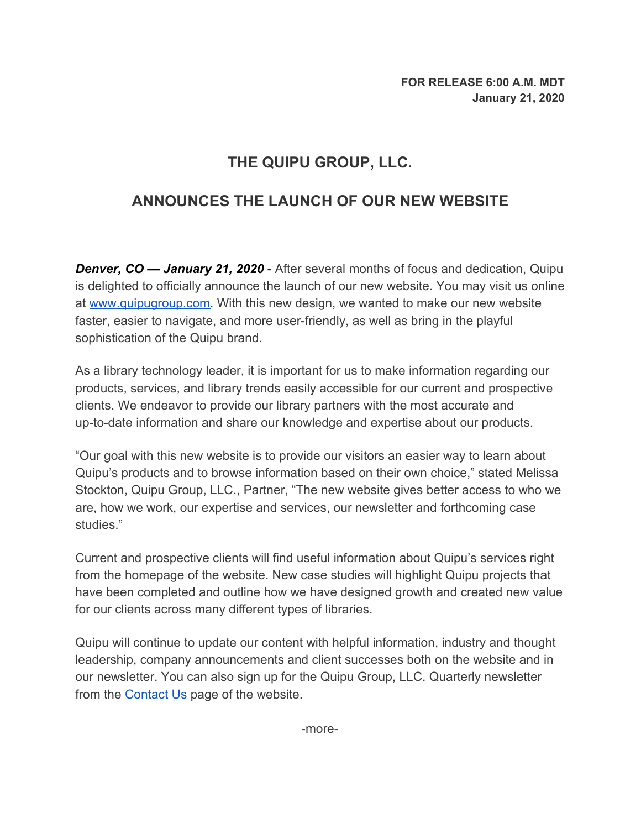## **THE QUIPU GROUP, LLC.**

## **ANNOUNCES THE LAUNCH OF OUR NEW WEBSITE**

**Denver, CO — January 21, 2020** - After several months of focus and dedication, Quipu is delighted to officially announce the launch of our new website. You may visit us online at [www.quipugroup.com.](https://quipugroup.com/) With this new design, we wanted to make our new website faster, easier to navigate, and more user-friendly, as well as bring in the playful sophistication of the Quipu brand.

As a library technology leader, it is important for us to make information regarding our products, services, and library trends easily accessible for our current and prospective clients. We endeavor to provide our library partners with the most accurate and up-to-date information and share our knowledge and expertise about our products.

"Our goal with this new website is to provide our visitors an easier way to learn about Quipu's products and to browse information based on their own choice," stated Melissa Stockton, Quipu Group, LLC., Partner, "The new website gives better access to who we are, how we work, our expertise and services, our newsletter and forthcoming case studies."

Current and prospective clients will find useful information about Quipu's services right from the homepage of the website. New case studies will highlight Quipu projects that have been completed and outline how we have designed growth and created new value for our clients across many different types of libraries.

Quipu will continue to update our content with helpful information, industry and thought leadership, company announcements and client successes both on the website and in our newsletter. You can also sign up for the Quipu Group, LLC. Quarterly newsletter from the **[Contact Us](https://www.quipugroup.com/contact-us/)** page of the website.

-more-